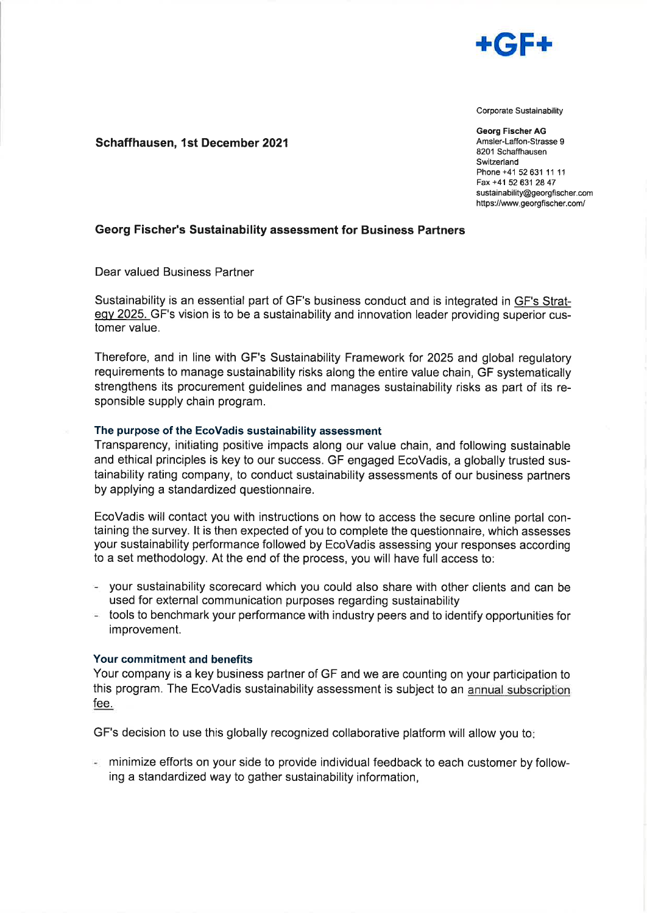

Corporate Sustainability

Georg Fischer AG Amsler-Laffon-Strasse 9 8201 Schaffhausen Switzerland Phone +41 52631 11 <sup>11</sup> Fax +41 52 631 28 47 sustainability@georgfischer.com https://www.georgfischer.com/

# Schaffhausen, 1st December 2021

### Georg Fischer's Sustainability assessment for Business Partners

Dear valued Business Partner

Sustainability is an essential part of GF's business conduct and is integrated in GF's Strategy 2025. GF's vision is to be a sustainability and innovation leader providing superior customer value.

Therefore, and in line with GF's Sustainability Framework for 2025 and global regulatory requirements to manage sustainability risks along the entire value chain, GF systematically strengthens its procurement guidelines and manages sustainability risks as part of its responsible supply chain program.

### The purpose of the EcoVadis sustainability assessment

Transparency, initiating positive impacts along our value chain, and following sustainable and ethical principles is key to our success. GF engaged EcoVadis, a globally trusted sustainability rating company, to conduct sustainability assessments of our business partners by applying a standardized questionnaire.

EcoVadis will contact you with instructions on how to access the secure online portal containing the survey. lt is then expected of you to complete the questionnaire, which assesses your sustainability performance followed by EcoVadis assessing your responses according to a set methodology. At the end of the process, you will have full access to:

- your sustainability scorecard which you could also share with other clients and can be used for external communication purposes regarding sustainability
- $\sim$  tools to benchmark your performance with industry peers and to identify opportunities for improvement.

#### Your commitment and benefits

Your company is a key business partner of GF and we are counting on your participation to this program. The EcoVadis sustainability assessment is subject to an annual subscription fee.

GF's decision to use this globally recognized collaborative platform will allow you to

minimize efforts on your side to provide individual feedback to each customer by following a standardized way to gather sustainability information,